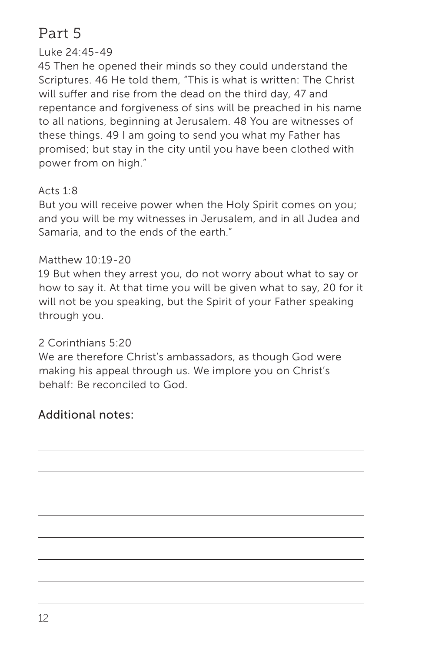# Part 5

## Luke 24:45-49

45 Then he opened their minds so they could understand the Scriptures. 46 He told them, "This is what is written: The Christ will suffer and rise from the dead on the third day, 47 and repentance and forgiveness of sins will be preached in his name to all nations, beginning at Jerusalem. 48 You are witnesses of these things. 49 I am going to send you what my Father has promised; but stay in the city until you have been clothed with power from on high."

### Acts  $1.8$

But you will receive power when the Holy Spirit comes on you; and you will be my witnesses in Jerusalem, and in all Judea and Samaria, and to the ends of the earth."

#### Matthew 10:19-20

19 But when they arrest you, do not worry about what to say or how to say it. At that time you will be given what to say, 20 for it will not be you speaking, but the Spirit of your Father speaking through you.

### 2 Corinthians 5:20

We are therefore Christ's ambassadors, as though God were making his appeal through us. We implore you on Christ's behalf: Be reconciled to God.

# Additional notes: